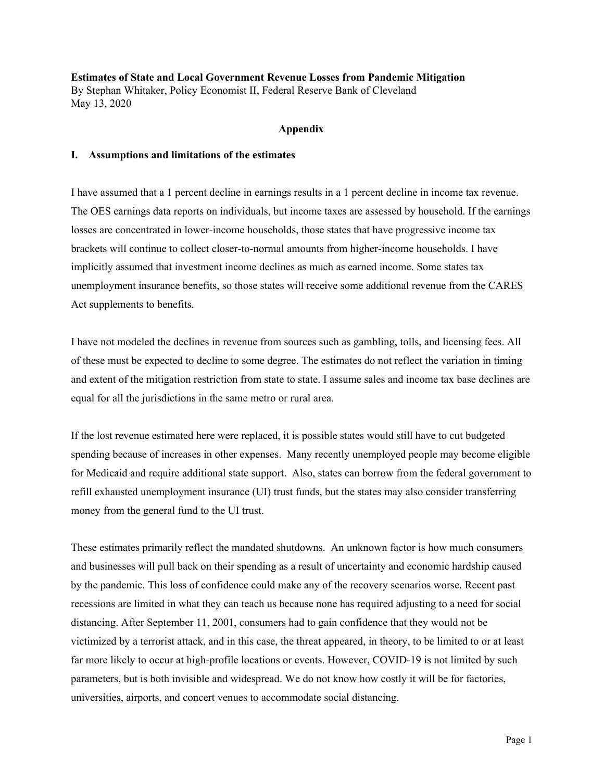**Estimates of State and Local Government Revenue Losses from Pandemic Mitigation** By Stephan Whitaker, Policy Economist II, Federal Reserve Bank of Cleveland May 13, 2020

## **Appendix**

## **I. Assumptions and limitations of the estimates**

I have assumed that a 1 percent decline in earnings results in a 1 percent decline in income tax revenue. The OES earnings data reports on individuals, but income taxes are assessed by household. If the earnings losses are concentrated in lower-income households, those states that have progressive income tax brackets will continue to collect closer-to-normal amounts from higher-income households. I have implicitly assumed that investment income declines as much as earned income. Some states tax unemployment insurance benefits, so those states will receive some additional revenue from the CARES Act supplements to benefits.

I have not modeled the declines in revenue from sources such as gambling, tolls, and licensing fees. All of these must be expected to decline to some degree. The estimates do not reflect the variation in timing and extent of the mitigation restriction from state to state. I assume sales and income tax base declines are equal for all the jurisdictions in the same metro or rural area.

If the lost revenue estimated here were replaced, it is possible states would still have to cut budgeted spending because of increases in other expenses. Many recently unemployed people may become eligible for Medicaid and require additional state support. Also, states can borrow from the federal government to refill exhausted unemployment insurance (UI) trust funds, but the states may also consider transferring money from the general fund to the UI trust.

These estimates primarily reflect the mandated shutdowns. An unknown factor is how much consumers and businesses will pull back on their spending as a result of uncertainty and economic hardship caused by the pandemic. This loss of confidence could make any of the recovery scenarios worse. Recent past recessions are limited in what they can teach us because none has required adjusting to a need for social distancing. After September 11, 2001, consumers had to gain confidence that they would not be victimized by a terrorist attack, and in this case, the threat appeared, in theory, to be limited to or at least far more likely to occur at high-profile locations or events. However, COVID-19 is not limited by such parameters, but is both invisible and widespread. We do not know how costly it will be for factories, universities, airports, and concert venues to accommodate social distancing.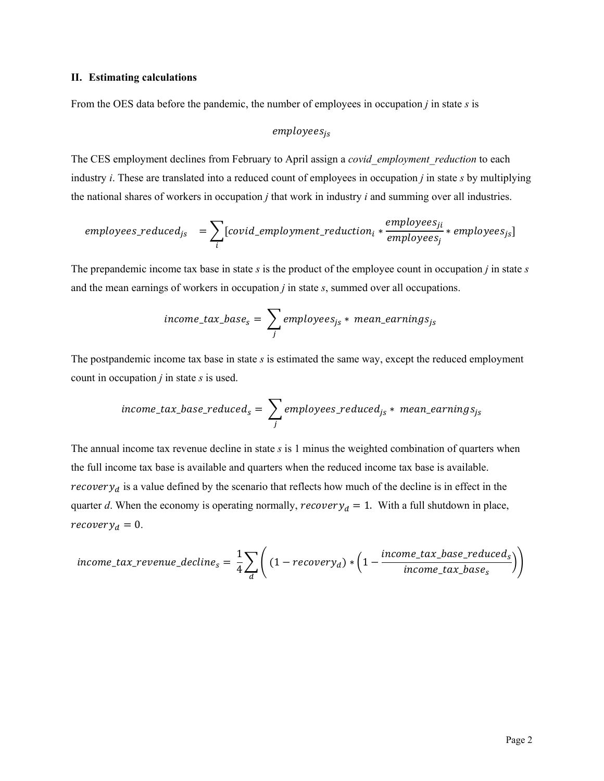### **II. Estimating calculations**

From the OES data before the pandemic, the number of employees in occupation *j* in state *s* is

# $employees_{is}$

The CES employment declines from February to April assign a *covid\_employment\_reduction* to each industry *i*. These are translated into a reduced count of employees in occupation *j* in state *s* by multiplying the national shares of workers in occupation *j* that work in industry *i* and summing over all industries.

$$
employee s\_reduced_{js} = \sum_{i} [covid\_emplogment\_reduction_{i} * \frac{employes_{ji}}{employes_{j}} * employee s_{js}]
$$

The prepandemic income tax base in state *s* is the product of the employee count in occupation *j* in state *s* and the mean earnings of workers in occupation *j* in state *s*, summed over all occupations.

$$
income\_tax\_base_s = \sum_j \, employees_{js} * \,mean\_earnings_{js}
$$

The postpandemic income tax base in state *s* is estimated the same way, except the reduced employment count in occupation *j* in state *s* is used.

$$
income\_tax\_base\_reduced_s = \sum_j employpes\_reduced_{js} * mean\_earnings_{js}
$$

The annual income tax revenue decline in state *s* is 1 minus the weighted combination of quarters when the full income tax base is available and quarters when the reduced income tax base is available. *recovery<sub>d</sub>* is a value defined by the scenario that reflects how much of the decline is in effect in the quarter *d*. When the economy is operating normally,  $recovery_d = 1$ . With a full shutdown in place,  $recovery<sub>d</sub> = 0.$ 

$$
income\_tax\_revenue\_decline_s = \frac{1}{4} \sum_{d} \left( (1-recovery_d) * \left(1 - \frac{income\_tax\_base\_reduced_s}{income\_tax\_base_s}\right) \right)
$$